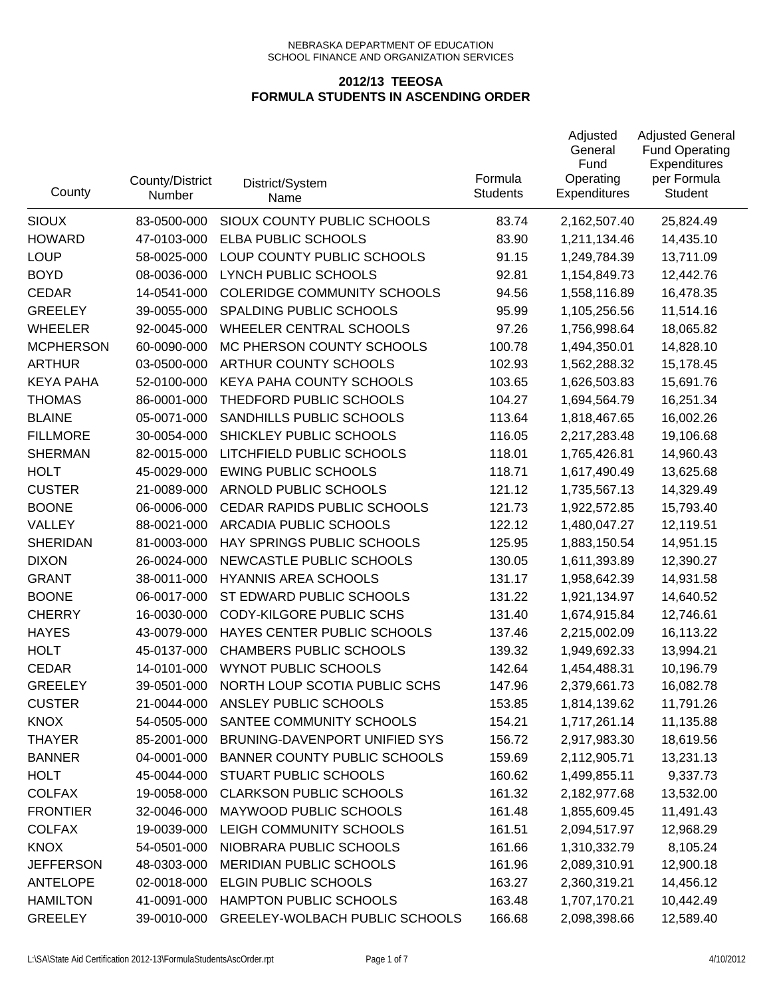| County           | County/District<br>Number | District/System<br>Name             | Formula<br><b>Students</b> | Adjusted<br>General<br>Fund<br>Operating<br><b>Expenditures</b> | <b>Adjusted General</b><br><b>Fund Operating</b><br>Expenditures<br>per Formula<br><b>Student</b> |
|------------------|---------------------------|-------------------------------------|----------------------------|-----------------------------------------------------------------|---------------------------------------------------------------------------------------------------|
| <b>SIOUX</b>     | 83-0500-000               | SIOUX COUNTY PUBLIC SCHOOLS         | 83.74                      | 2,162,507.40                                                    | 25,824.49                                                                                         |
| <b>HOWARD</b>    | 47-0103-000               | ELBA PUBLIC SCHOOLS                 | 83.90                      | 1,211,134.46                                                    | 14,435.10                                                                                         |
| <b>LOUP</b>      | 58-0025-000               | LOUP COUNTY PUBLIC SCHOOLS          | 91.15                      | 1,249,784.39                                                    | 13,711.09                                                                                         |
| <b>BOYD</b>      | 08-0036-000               | LYNCH PUBLIC SCHOOLS                | 92.81                      | 1,154,849.73                                                    | 12,442.76                                                                                         |
| <b>CEDAR</b>     | 14-0541-000               | <b>COLERIDGE COMMUNITY SCHOOLS</b>  | 94.56                      | 1,558,116.89                                                    | 16,478.35                                                                                         |
| <b>GREELEY</b>   | 39-0055-000               | SPALDING PUBLIC SCHOOLS             | 95.99                      | 1,105,256.56                                                    | 11,514.16                                                                                         |
| <b>WHEELER</b>   | 92-0045-000               | WHEELER CENTRAL SCHOOLS             | 97.26                      | 1,756,998.64                                                    | 18,065.82                                                                                         |
| <b>MCPHERSON</b> | 60-0090-000               | MC PHERSON COUNTY SCHOOLS           | 100.78                     | 1,494,350.01                                                    | 14,828.10                                                                                         |
| <b>ARTHUR</b>    | 03-0500-000               | ARTHUR COUNTY SCHOOLS               | 102.93                     | 1,562,288.32                                                    | 15,178.45                                                                                         |
| <b>KEYA PAHA</b> | 52-0100-000               | KEYA PAHA COUNTY SCHOOLS            | 103.65                     | 1,626,503.83                                                    | 15,691.76                                                                                         |
| <b>THOMAS</b>    | 86-0001-000               | THEDFORD PUBLIC SCHOOLS             | 104.27                     | 1,694,564.79                                                    | 16,251.34                                                                                         |
| <b>BLAINE</b>    | 05-0071-000               | SANDHILLS PUBLIC SCHOOLS            | 113.64                     | 1,818,467.65                                                    | 16,002.26                                                                                         |
| <b>FILLMORE</b>  | 30-0054-000               | SHICKLEY PUBLIC SCHOOLS             | 116.05                     | 2,217,283.48                                                    | 19,106.68                                                                                         |
| <b>SHERMAN</b>   | 82-0015-000               | LITCHFIELD PUBLIC SCHOOLS           | 118.01                     | 1,765,426.81                                                    | 14,960.43                                                                                         |
| <b>HOLT</b>      | 45-0029-000               | <b>EWING PUBLIC SCHOOLS</b>         | 118.71                     | 1,617,490.49                                                    | 13,625.68                                                                                         |
| <b>CUSTER</b>    | 21-0089-000               | ARNOLD PUBLIC SCHOOLS               | 121.12                     | 1,735,567.13                                                    | 14,329.49                                                                                         |
| <b>BOONE</b>     | 06-0006-000               | CEDAR RAPIDS PUBLIC SCHOOLS         | 121.73                     | 1,922,572.85                                                    | 15,793.40                                                                                         |
| VALLEY           | 88-0021-000               | ARCADIA PUBLIC SCHOOLS              | 122.12                     | 1,480,047.27                                                    | 12,119.51                                                                                         |
| <b>SHERIDAN</b>  | 81-0003-000               | HAY SPRINGS PUBLIC SCHOOLS          | 125.95                     | 1,883,150.54                                                    | 14,951.15                                                                                         |
| <b>DIXON</b>     | 26-0024-000               | NEWCASTLE PUBLIC SCHOOLS            | 130.05                     | 1,611,393.89                                                    | 12,390.27                                                                                         |
| <b>GRANT</b>     | 38-0011-000               | <b>HYANNIS AREA SCHOOLS</b>         | 131.17                     | 1,958,642.39                                                    | 14,931.58                                                                                         |
| <b>BOONE</b>     | 06-0017-000               | ST EDWARD PUBLIC SCHOOLS            | 131.22                     | 1,921,134.97                                                    | 14,640.52                                                                                         |
| <b>CHERRY</b>    | 16-0030-000               | CODY-KILGORE PUBLIC SCHS            | 131.40                     | 1,674,915.84                                                    | 12,746.61                                                                                         |
| <b>HAYES</b>     | 43-0079-000               | HAYES CENTER PUBLIC SCHOOLS         | 137.46                     | 2,215,002.09                                                    | 16,113.22                                                                                         |
| <b>HOLT</b>      | 45-0137-000               | <b>CHAMBERS PUBLIC SCHOOLS</b>      | 139.32                     | 1,949,692.33                                                    | 13,994.21                                                                                         |
| <b>CEDAR</b>     | 14-0101-000               | <b>WYNOT PUBLIC SCHOOLS</b>         | 142.64                     | 1,454,488.31                                                    | 10,196.79                                                                                         |
| <b>GREELEY</b>   | 39-0501-000               | NORTH LOUP SCOTIA PUBLIC SCHS       | 147.96                     | 2,379,661.73                                                    | 16,082.78                                                                                         |
| <b>CUSTER</b>    | 21-0044-000               | ANSLEY PUBLIC SCHOOLS               | 153.85                     | 1,814,139.62                                                    | 11,791.26                                                                                         |
| <b>KNOX</b>      | 54-0505-000               | SANTEE COMMUNITY SCHOOLS            | 154.21                     | 1,717,261.14                                                    | 11,135.88                                                                                         |
| <b>THAYER</b>    | 85-2001-000               | BRUNING-DAVENPORT UNIFIED SYS       | 156.72                     | 2,917,983.30                                                    | 18,619.56                                                                                         |
| <b>BANNER</b>    | 04-0001-000               | <b>BANNER COUNTY PUBLIC SCHOOLS</b> | 159.69                     | 2,112,905.71                                                    | 13,231.13                                                                                         |
| <b>HOLT</b>      | 45-0044-000               | STUART PUBLIC SCHOOLS               | 160.62                     | 1,499,855.11                                                    | 9,337.73                                                                                          |
| <b>COLFAX</b>    | 19-0058-000               | <b>CLARKSON PUBLIC SCHOOLS</b>      | 161.32                     | 2,182,977.68                                                    | 13,532.00                                                                                         |
| <b>FRONTIER</b>  | 32-0046-000               | MAYWOOD PUBLIC SCHOOLS              | 161.48                     | 1,855,609.45                                                    | 11,491.43                                                                                         |
| <b>COLFAX</b>    | 19-0039-000               | LEIGH COMMUNITY SCHOOLS             | 161.51                     | 2,094,517.97                                                    | 12,968.29                                                                                         |
| <b>KNOX</b>      | 54-0501-000               | NIOBRARA PUBLIC SCHOOLS             | 161.66                     | 1,310,332.79                                                    | 8,105.24                                                                                          |
| <b>JEFFERSON</b> | 48-0303-000               | MERIDIAN PUBLIC SCHOOLS             | 161.96                     | 2,089,310.91                                                    | 12,900.18                                                                                         |
| <b>ANTELOPE</b>  | 02-0018-000               | <b>ELGIN PUBLIC SCHOOLS</b>         | 163.27                     | 2,360,319.21                                                    | 14,456.12                                                                                         |
| <b>HAMILTON</b>  | 41-0091-000               | HAMPTON PUBLIC SCHOOLS              | 163.48                     | 1,707,170.21                                                    | 10,442.49                                                                                         |
| <b>GREELEY</b>   | 39-0010-000               | GREELEY-WOLBACH PUBLIC SCHOOLS      | 166.68                     | 2,098,398.66                                                    | 12,589.40                                                                                         |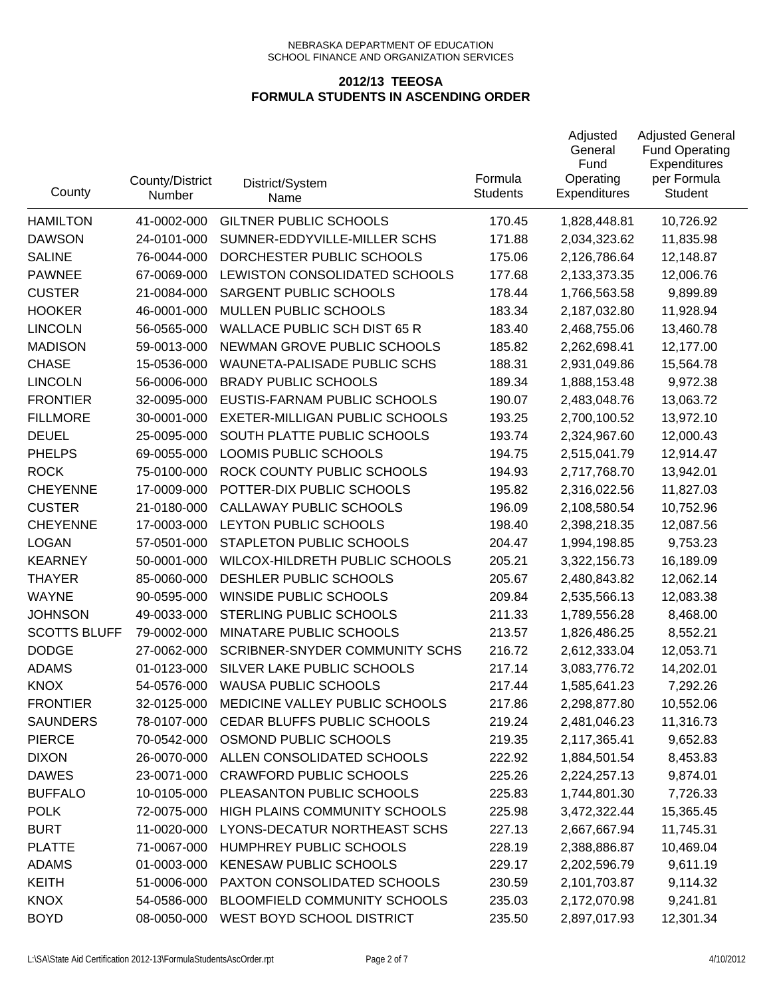| County              | County/District<br>Number | District/System<br>Name             | Formula<br><b>Students</b> | Adjusted<br>General<br>Fund<br>Operating<br>Expenditures | <b>Adjusted General</b><br><b>Fund Operating</b><br>Expenditures<br>per Formula<br><b>Student</b> |
|---------------------|---------------------------|-------------------------------------|----------------------------|----------------------------------------------------------|---------------------------------------------------------------------------------------------------|
| <b>HAMILTON</b>     | 41-0002-000               | <b>GILTNER PUBLIC SCHOOLS</b>       | 170.45                     | 1,828,448.81                                             | 10,726.92                                                                                         |
| <b>DAWSON</b>       | 24-0101-000               | SUMNER-EDDYVILLE-MILLER SCHS        | 171.88                     | 2,034,323.62                                             | 11,835.98                                                                                         |
| <b>SALINE</b>       | 76-0044-000               | DORCHESTER PUBLIC SCHOOLS           | 175.06                     | 2,126,786.64                                             | 12,148.87                                                                                         |
| <b>PAWNEE</b>       | 67-0069-000               | LEWISTON CONSOLIDATED SCHOOLS       | 177.68                     | 2,133,373.35                                             | 12,006.76                                                                                         |
| <b>CUSTER</b>       | 21-0084-000               | SARGENT PUBLIC SCHOOLS              | 178.44                     | 1,766,563.58                                             | 9,899.89                                                                                          |
| <b>HOOKER</b>       | 46-0001-000               | MULLEN PUBLIC SCHOOLS               | 183.34                     | 2,187,032.80                                             | 11,928.94                                                                                         |
| <b>LINCOLN</b>      | 56-0565-000               | <b>WALLACE PUBLIC SCH DIST 65 R</b> | 183.40                     | 2,468,755.06                                             | 13,460.78                                                                                         |
| <b>MADISON</b>      | 59-0013-000               | NEWMAN GROVE PUBLIC SCHOOLS         | 185.82                     | 2,262,698.41                                             | 12,177.00                                                                                         |
| <b>CHASE</b>        | 15-0536-000               | WAUNETA-PALISADE PUBLIC SCHS        | 188.31                     | 2,931,049.86                                             | 15,564.78                                                                                         |
| <b>LINCOLN</b>      | 56-0006-000               | <b>BRADY PUBLIC SCHOOLS</b>         | 189.34                     | 1,888,153.48                                             | 9,972.38                                                                                          |
| <b>FRONTIER</b>     | 32-0095-000               | EUSTIS-FARNAM PUBLIC SCHOOLS        | 190.07                     | 2,483,048.76                                             | 13,063.72                                                                                         |
| <b>FILLMORE</b>     | 30-0001-000               | EXETER-MILLIGAN PUBLIC SCHOOLS      | 193.25                     | 2,700,100.52                                             | 13,972.10                                                                                         |
| <b>DEUEL</b>        | 25-0095-000               | SOUTH PLATTE PUBLIC SCHOOLS         | 193.74                     | 2,324,967.60                                             | 12,000.43                                                                                         |
| <b>PHELPS</b>       | 69-0055-000               | LOOMIS PUBLIC SCHOOLS               | 194.75                     | 2,515,041.79                                             | 12,914.47                                                                                         |
| <b>ROCK</b>         | 75-0100-000               | ROCK COUNTY PUBLIC SCHOOLS          | 194.93                     | 2,717,768.70                                             | 13,942.01                                                                                         |
| <b>CHEYENNE</b>     | 17-0009-000               | POTTER-DIX PUBLIC SCHOOLS           | 195.82                     | 2,316,022.56                                             | 11,827.03                                                                                         |
| <b>CUSTER</b>       | 21-0180-000               | CALLAWAY PUBLIC SCHOOLS             | 196.09                     | 2,108,580.54                                             | 10,752.96                                                                                         |
| <b>CHEYENNE</b>     | 17-0003-000               | LEYTON PUBLIC SCHOOLS               | 198.40                     | 2,398,218.35                                             | 12,087.56                                                                                         |
| <b>LOGAN</b>        | 57-0501-000               | STAPLETON PUBLIC SCHOOLS            | 204.47                     | 1,994,198.85                                             | 9,753.23                                                                                          |
| <b>KEARNEY</b>      | 50-0001-000               | WILCOX-HILDRETH PUBLIC SCHOOLS      | 205.21                     | 3,322,156.73                                             | 16,189.09                                                                                         |
| <b>THAYER</b>       | 85-0060-000               | DESHLER PUBLIC SCHOOLS              | 205.67                     | 2,480,843.82                                             | 12,062.14                                                                                         |
| <b>WAYNE</b>        | 90-0595-000               | WINSIDE PUBLIC SCHOOLS              | 209.84                     | 2,535,566.13                                             | 12,083.38                                                                                         |
| <b>JOHNSON</b>      | 49-0033-000               | STERLING PUBLIC SCHOOLS             | 211.33                     | 1,789,556.28                                             | 8,468.00                                                                                          |
| <b>SCOTTS BLUFF</b> | 79-0002-000               | MINATARE PUBLIC SCHOOLS             | 213.57                     | 1,826,486.25                                             | 8,552.21                                                                                          |
| <b>DODGE</b>        | 27-0062-000               | SCRIBNER-SNYDER COMMUNITY SCHS      | 216.72                     | 2,612,333.04                                             | 12,053.71                                                                                         |
| <b>ADAMS</b>        | 01-0123-000               | SILVER LAKE PUBLIC SCHOOLS          | 217.14                     | 3,083,776.72                                             | 14,202.01                                                                                         |
| <b>KNOX</b>         | 54-0576-000               | <b>WAUSA PUBLIC SCHOOLS</b>         | 217.44                     | 1,585,641.23                                             | 7,292.26                                                                                          |
| <b>FRONTIER</b>     | 32-0125-000               | MEDICINE VALLEY PUBLIC SCHOOLS      | 217.86                     | 2,298,877.80                                             | 10,552.06                                                                                         |
| <b>SAUNDERS</b>     | 78-0107-000               | CEDAR BLUFFS PUBLIC SCHOOLS         | 219.24                     | 2,481,046.23                                             | 11,316.73                                                                                         |
| <b>PIERCE</b>       | 70-0542-000               | OSMOND PUBLIC SCHOOLS               | 219.35                     | 2,117,365.41                                             | 9,652.83                                                                                          |
| <b>DIXON</b>        | 26-0070-000               | ALLEN CONSOLIDATED SCHOOLS          | 222.92                     | 1,884,501.54                                             | 8,453.83                                                                                          |
| <b>DAWES</b>        | 23-0071-000               | <b>CRAWFORD PUBLIC SCHOOLS</b>      | 225.26                     | 2,224,257.13                                             | 9,874.01                                                                                          |
| <b>BUFFALO</b>      | 10-0105-000               | PLEASANTON PUBLIC SCHOOLS           | 225.83                     | 1,744,801.30                                             | 7,726.33                                                                                          |
| <b>POLK</b>         | 72-0075-000               | HIGH PLAINS COMMUNITY SCHOOLS       | 225.98                     | 3,472,322.44                                             | 15,365.45                                                                                         |
| <b>BURT</b>         | 11-0020-000               | LYONS-DECATUR NORTHEAST SCHS        | 227.13                     | 2,667,667.94                                             | 11,745.31                                                                                         |
| <b>PLATTE</b>       | 71-0067-000               | HUMPHREY PUBLIC SCHOOLS             | 228.19                     | 2,388,886.87                                             | 10,469.04                                                                                         |
| <b>ADAMS</b>        | 01-0003-000               | <b>KENESAW PUBLIC SCHOOLS</b>       | 229.17                     | 2,202,596.79                                             | 9,611.19                                                                                          |
| <b>KEITH</b>        | 51-0006-000               | PAXTON CONSOLIDATED SCHOOLS         | 230.59                     | 2,101,703.87                                             | 9,114.32                                                                                          |
| <b>KNOX</b>         | 54-0586-000               | BLOOMFIELD COMMUNITY SCHOOLS        | 235.03                     | 2,172,070.98                                             | 9,241.81                                                                                          |
| <b>BOYD</b>         | 08-0050-000               | WEST BOYD SCHOOL DISTRICT           | 235.50                     | 2,897,017.93                                             | 12,301.34                                                                                         |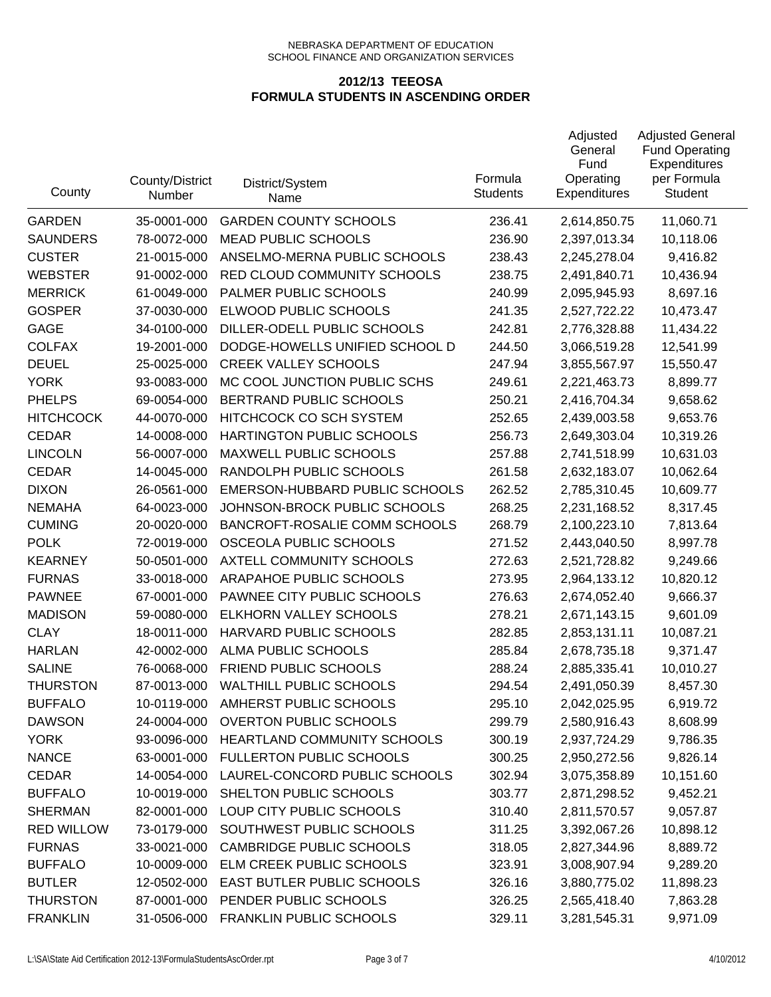| County            | County/District<br>Number | District/System<br>Name         | Formula<br><b>Students</b> | Adjusted<br>General<br>Fund<br>Operating<br><b>Expenditures</b> | <b>Adjusted General</b><br><b>Fund Operating</b><br>Expenditures<br>per Formula<br><b>Student</b> |
|-------------------|---------------------------|---------------------------------|----------------------------|-----------------------------------------------------------------|---------------------------------------------------------------------------------------------------|
| <b>GARDEN</b>     | 35-0001-000               | <b>GARDEN COUNTY SCHOOLS</b>    | 236.41                     | 2,614,850.75                                                    | 11,060.71                                                                                         |
| <b>SAUNDERS</b>   | 78-0072-000               | <b>MEAD PUBLIC SCHOOLS</b>      | 236.90                     | 2,397,013.34                                                    | 10,118.06                                                                                         |
| <b>CUSTER</b>     | 21-0015-000               | ANSELMO-MERNA PUBLIC SCHOOLS    | 238.43                     | 2,245,278.04                                                    | 9,416.82                                                                                          |
| <b>WEBSTER</b>    | 91-0002-000               | RED CLOUD COMMUNITY SCHOOLS     | 238.75                     | 2,491,840.71                                                    | 10,436.94                                                                                         |
| <b>MERRICK</b>    | 61-0049-000               | PALMER PUBLIC SCHOOLS           | 240.99                     | 2,095,945.93                                                    | 8,697.16                                                                                          |
| <b>GOSPER</b>     | 37-0030-000               | ELWOOD PUBLIC SCHOOLS           | 241.35                     | 2,527,722.22                                                    | 10,473.47                                                                                         |
| <b>GAGE</b>       | 34-0100-000               | DILLER-ODELL PUBLIC SCHOOLS     | 242.81                     | 2,776,328.88                                                    | 11,434.22                                                                                         |
| <b>COLFAX</b>     | 19-2001-000               | DODGE-HOWELLS UNIFIED SCHOOL D  | 244.50                     | 3,066,519.28                                                    | 12,541.99                                                                                         |
| <b>DEUEL</b>      | 25-0025-000               | <b>CREEK VALLEY SCHOOLS</b>     | 247.94                     | 3,855,567.97                                                    | 15,550.47                                                                                         |
| <b>YORK</b>       | 93-0083-000               | MC COOL JUNCTION PUBLIC SCHS    | 249.61                     | 2,221,463.73                                                    | 8,899.77                                                                                          |
| <b>PHELPS</b>     | 69-0054-000               | BERTRAND PUBLIC SCHOOLS         | 250.21                     | 2,416,704.34                                                    | 9,658.62                                                                                          |
| <b>HITCHCOCK</b>  | 44-0070-000               | HITCHCOCK CO SCH SYSTEM         | 252.65                     | 2,439,003.58                                                    | 9,653.76                                                                                          |
| <b>CEDAR</b>      | 14-0008-000               | HARTINGTON PUBLIC SCHOOLS       | 256.73                     | 2,649,303.04                                                    | 10,319.26                                                                                         |
| <b>LINCOLN</b>    | 56-0007-000               | MAXWELL PUBLIC SCHOOLS          | 257.88                     | 2,741,518.99                                                    | 10,631.03                                                                                         |
| <b>CEDAR</b>      | 14-0045-000               | RANDOLPH PUBLIC SCHOOLS         | 261.58                     | 2,632,183.07                                                    | 10,062.64                                                                                         |
| <b>DIXON</b>      | 26-0561-000               | EMERSON-HUBBARD PUBLIC SCHOOLS  | 262.52                     | 2,785,310.45                                                    | 10,609.77                                                                                         |
| <b>NEMAHA</b>     | 64-0023-000               | JOHNSON-BROCK PUBLIC SCHOOLS    | 268.25                     | 2,231,168.52                                                    | 8,317.45                                                                                          |
| <b>CUMING</b>     | 20-0020-000               | BANCROFT-ROSALIE COMM SCHOOLS   | 268.79                     | 2,100,223.10                                                    | 7,813.64                                                                                          |
| <b>POLK</b>       | 72-0019-000               | OSCEOLA PUBLIC SCHOOLS          | 271.52                     | 2,443,040.50                                                    | 8,997.78                                                                                          |
| <b>KEARNEY</b>    | 50-0501-000               | AXTELL COMMUNITY SCHOOLS        | 272.63                     | 2,521,728.82                                                    | 9,249.66                                                                                          |
| <b>FURNAS</b>     | 33-0018-000               | ARAPAHOE PUBLIC SCHOOLS         | 273.95                     | 2,964,133.12                                                    | 10,820.12                                                                                         |
| <b>PAWNEE</b>     | 67-0001-000               | PAWNEE CITY PUBLIC SCHOOLS      | 276.63                     | 2,674,052.40                                                    | 9,666.37                                                                                          |
| <b>MADISON</b>    | 59-0080-000               | ELKHORN VALLEY SCHOOLS          | 278.21                     | 2,671,143.15                                                    | 9,601.09                                                                                          |
| <b>CLAY</b>       | 18-0011-000               | HARVARD PUBLIC SCHOOLS          | 282.85                     | 2,853,131.11                                                    | 10,087.21                                                                                         |
| <b>HARLAN</b>     | 42-0002-000               | ALMA PUBLIC SCHOOLS             | 285.84                     | 2,678,735.18                                                    | 9,371.47                                                                                          |
| <b>SALINE</b>     | 76-0068-000               | FRIEND PUBLIC SCHOOLS           | 288.24                     | 2,885,335.41                                                    | 10,010.27                                                                                         |
| <b>THURSTON</b>   | 87-0013-000               | <b>WALTHILL PUBLIC SCHOOLS</b>  | 294.54                     | 2,491,050.39                                                    | 8,457.30                                                                                          |
| <b>BUFFALO</b>    | 10-0119-000               | AMHERST PUBLIC SCHOOLS          | 295.10                     | 2,042,025.95                                                    | 6,919.72                                                                                          |
| <b>DAWSON</b>     | 24-0004-000               | <b>OVERTON PUBLIC SCHOOLS</b>   | 299.79                     | 2,580,916.43                                                    | 8,608.99                                                                                          |
| <b>YORK</b>       | 93-0096-000               | HEARTLAND COMMUNITY SCHOOLS     | 300.19                     | 2,937,724.29                                                    | 9,786.35                                                                                          |
| <b>NANCE</b>      | 63-0001-000               | <b>FULLERTON PUBLIC SCHOOLS</b> | 300.25                     | 2,950,272.56                                                    | 9,826.14                                                                                          |
| <b>CEDAR</b>      | 14-0054-000               | LAUREL-CONCORD PUBLIC SCHOOLS   | 302.94                     | 3,075,358.89                                                    | 10,151.60                                                                                         |
| <b>BUFFALO</b>    | 10-0019-000               | SHELTON PUBLIC SCHOOLS          | 303.77                     | 2,871,298.52                                                    | 9,452.21                                                                                          |
| <b>SHERMAN</b>    | 82-0001-000               | LOUP CITY PUBLIC SCHOOLS        | 310.40                     | 2,811,570.57                                                    | 9,057.87                                                                                          |
| <b>RED WILLOW</b> | 73-0179-000               | SOUTHWEST PUBLIC SCHOOLS        | 311.25                     | 3,392,067.26                                                    | 10,898.12                                                                                         |
| <b>FURNAS</b>     | 33-0021-000               | <b>CAMBRIDGE PUBLIC SCHOOLS</b> | 318.05                     | 2,827,344.96                                                    | 8,889.72                                                                                          |
| <b>BUFFALO</b>    | 10-0009-000               | ELM CREEK PUBLIC SCHOOLS        | 323.91                     | 3,008,907.94                                                    | 9,289.20                                                                                          |
| <b>BUTLER</b>     | 12-0502-000               | EAST BUTLER PUBLIC SCHOOLS      | 326.16                     | 3,880,775.02                                                    | 11,898.23                                                                                         |
| <b>THURSTON</b>   | 87-0001-000               | PENDER PUBLIC SCHOOLS           | 326.25                     | 2,565,418.40                                                    | 7,863.28                                                                                          |
| <b>FRANKLIN</b>   | 31-0506-000               | FRANKLIN PUBLIC SCHOOLS         | 329.11                     | 3,281,545.31                                                    | 9,971.09                                                                                          |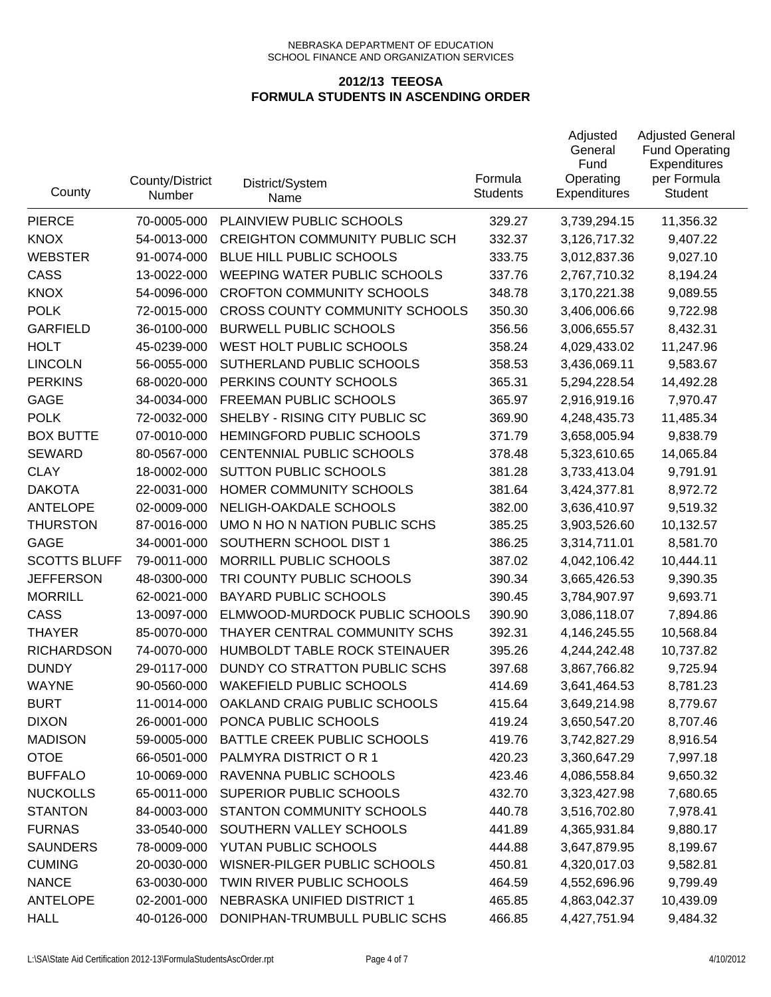| County              | County/District<br>Number | District/System<br>Name               | Formula<br><b>Students</b> | Adjusted<br>General<br>Fund<br>Operating<br><b>Expenditures</b> | <b>Adjusted General</b><br><b>Fund Operating</b><br>Expenditures<br>per Formula<br><b>Student</b> |
|---------------------|---------------------------|---------------------------------------|----------------------------|-----------------------------------------------------------------|---------------------------------------------------------------------------------------------------|
| <b>PIERCE</b>       | 70-0005-000               | PLAINVIEW PUBLIC SCHOOLS              | 329.27                     | 3,739,294.15                                                    | 11,356.32                                                                                         |
| <b>KNOX</b>         | 54-0013-000               | <b>CREIGHTON COMMUNITY PUBLIC SCH</b> | 332.37                     | 3,126,717.32                                                    | 9,407.22                                                                                          |
| <b>WEBSTER</b>      | 91-0074-000               | BLUE HILL PUBLIC SCHOOLS              | 333.75                     | 3,012,837.36                                                    | 9,027.10                                                                                          |
| <b>CASS</b>         | 13-0022-000               | WEEPING WATER PUBLIC SCHOOLS          | 337.76                     | 2,767,710.32                                                    | 8,194.24                                                                                          |
| <b>KNOX</b>         | 54-0096-000               | <b>CROFTON COMMUNITY SCHOOLS</b>      | 348.78                     | 3,170,221.38                                                    | 9,089.55                                                                                          |
| <b>POLK</b>         | 72-0015-000               | <b>CROSS COUNTY COMMUNITY SCHOOLS</b> | 350.30                     | 3,406,006.66                                                    | 9,722.98                                                                                          |
| <b>GARFIELD</b>     | 36-0100-000               | <b>BURWELL PUBLIC SCHOOLS</b>         | 356.56                     | 3,006,655.57                                                    | 8,432.31                                                                                          |
| <b>HOLT</b>         | 45-0239-000               | WEST HOLT PUBLIC SCHOOLS              | 358.24                     | 4,029,433.02                                                    | 11,247.96                                                                                         |
| <b>LINCOLN</b>      | 56-0055-000               | SUTHERLAND PUBLIC SCHOOLS             | 358.53                     | 3,436,069.11                                                    | 9,583.67                                                                                          |
| <b>PERKINS</b>      | 68-0020-000               | PERKINS COUNTY SCHOOLS                | 365.31                     | 5,294,228.54                                                    | 14,492.28                                                                                         |
| GAGE                | 34-0034-000               | FREEMAN PUBLIC SCHOOLS                | 365.97                     | 2,916,919.16                                                    | 7,970.47                                                                                          |
| <b>POLK</b>         | 72-0032-000               | SHELBY - RISING CITY PUBLIC SC        | 369.90                     | 4,248,435.73                                                    | 11,485.34                                                                                         |
| <b>BOX BUTTE</b>    | 07-0010-000               | HEMINGFORD PUBLIC SCHOOLS             | 371.79                     | 3,658,005.94                                                    | 9,838.79                                                                                          |
| <b>SEWARD</b>       | 80-0567-000               | CENTENNIAL PUBLIC SCHOOLS             | 378.48                     | 5,323,610.65                                                    | 14,065.84                                                                                         |
| <b>CLAY</b>         | 18-0002-000               | <b>SUTTON PUBLIC SCHOOLS</b>          | 381.28                     | 3,733,413.04                                                    | 9,791.91                                                                                          |
| <b>DAKOTA</b>       | 22-0031-000               | HOMER COMMUNITY SCHOOLS               | 381.64                     | 3,424,377.81                                                    | 8,972.72                                                                                          |
| <b>ANTELOPE</b>     | 02-0009-000               | NELIGH-OAKDALE SCHOOLS                | 382.00                     | 3,636,410.97                                                    | 9,519.32                                                                                          |
| <b>THURSTON</b>     | 87-0016-000               | UMO N HO N NATION PUBLIC SCHS         | 385.25                     | 3,903,526.60                                                    | 10,132.57                                                                                         |
| <b>GAGE</b>         | 34-0001-000               | SOUTHERN SCHOOL DIST 1                | 386.25                     | 3,314,711.01                                                    | 8,581.70                                                                                          |
| <b>SCOTTS BLUFF</b> | 79-0011-000               | MORRILL PUBLIC SCHOOLS                | 387.02                     | 4,042,106.42                                                    | 10,444.11                                                                                         |
| <b>JEFFERSON</b>    | 48-0300-000               | TRI COUNTY PUBLIC SCHOOLS             | 390.34                     | 3,665,426.53                                                    | 9,390.35                                                                                          |
| <b>MORRILL</b>      | 62-0021-000               | <b>BAYARD PUBLIC SCHOOLS</b>          | 390.45                     | 3,784,907.97                                                    | 9,693.71                                                                                          |
| CASS                | 13-0097-000               | ELMWOOD-MURDOCK PUBLIC SCHOOLS        | 390.90                     | 3,086,118.07                                                    | 7,894.86                                                                                          |
| <b>THAYER</b>       | 85-0070-000               | THAYER CENTRAL COMMUNITY SCHS         | 392.31                     | 4,146,245.55                                                    | 10,568.84                                                                                         |
| <b>RICHARDSON</b>   | 74-0070-000               | HUMBOLDT TABLE ROCK STEINAUER         | 395.26                     | 4,244,242.48                                                    | 10,737.82                                                                                         |
| <b>DUNDY</b>        | 29-0117-000               | DUNDY CO STRATTON PUBLIC SCHS         | 397.68                     | 3,867,766.82                                                    | 9,725.94                                                                                          |
| <b>WAYNE</b>        | 90-0560-000               | <b>WAKEFIELD PUBLIC SCHOOLS</b>       | 414.69                     | 3,641,464.53                                                    | 8,781.23                                                                                          |
| <b>BURT</b>         | 11-0014-000               | OAKLAND CRAIG PUBLIC SCHOOLS          | 415.64                     | 3,649,214.98                                                    | 8,779.67                                                                                          |
| <b>DIXON</b>        | 26-0001-000               | PONCA PUBLIC SCHOOLS                  | 419.24                     | 3,650,547.20                                                    | 8,707.46                                                                                          |
| <b>MADISON</b>      | 59-0005-000               | BATTLE CREEK PUBLIC SCHOOLS           | 419.76                     | 3,742,827.29                                                    | 8,916.54                                                                                          |
| <b>OTOE</b>         | 66-0501-000               | PALMYRA DISTRICT OR 1                 | 420.23                     | 3,360,647.29                                                    | 7,997.18                                                                                          |
| <b>BUFFALO</b>      | 10-0069-000               | RAVENNA PUBLIC SCHOOLS                | 423.46                     | 4,086,558.84                                                    | 9,650.32                                                                                          |
| <b>NUCKOLLS</b>     | 65-0011-000               | SUPERIOR PUBLIC SCHOOLS               | 432.70                     | 3,323,427.98                                                    | 7,680.65                                                                                          |
| <b>STANTON</b>      | 84-0003-000               | <b>STANTON COMMUNITY SCHOOLS</b>      | 440.78                     | 3,516,702.80                                                    | 7,978.41                                                                                          |
| <b>FURNAS</b>       | 33-0540-000               | SOUTHERN VALLEY SCHOOLS               | 441.89                     | 4,365,931.84                                                    | 9,880.17                                                                                          |
| <b>SAUNDERS</b>     | 78-0009-000               | YUTAN PUBLIC SCHOOLS                  | 444.88                     | 3,647,879.95                                                    | 8,199.67                                                                                          |
| <b>CUMING</b>       | 20-0030-000               | WISNER-PILGER PUBLIC SCHOOLS          | 450.81                     | 4,320,017.03                                                    | 9,582.81                                                                                          |
| <b>NANCE</b>        | 63-0030-000               | TWIN RIVER PUBLIC SCHOOLS             | 464.59                     | 4,552,696.96                                                    | 9,799.49                                                                                          |
| <b>ANTELOPE</b>     | 02-2001-000               | NEBRASKA UNIFIED DISTRICT 1           | 465.85                     | 4,863,042.37                                                    | 10,439.09                                                                                         |
| <b>HALL</b>         | 40-0126-000               | DONIPHAN-TRUMBULL PUBLIC SCHS         | 466.85                     | 4,427,751.94                                                    | 9,484.32                                                                                          |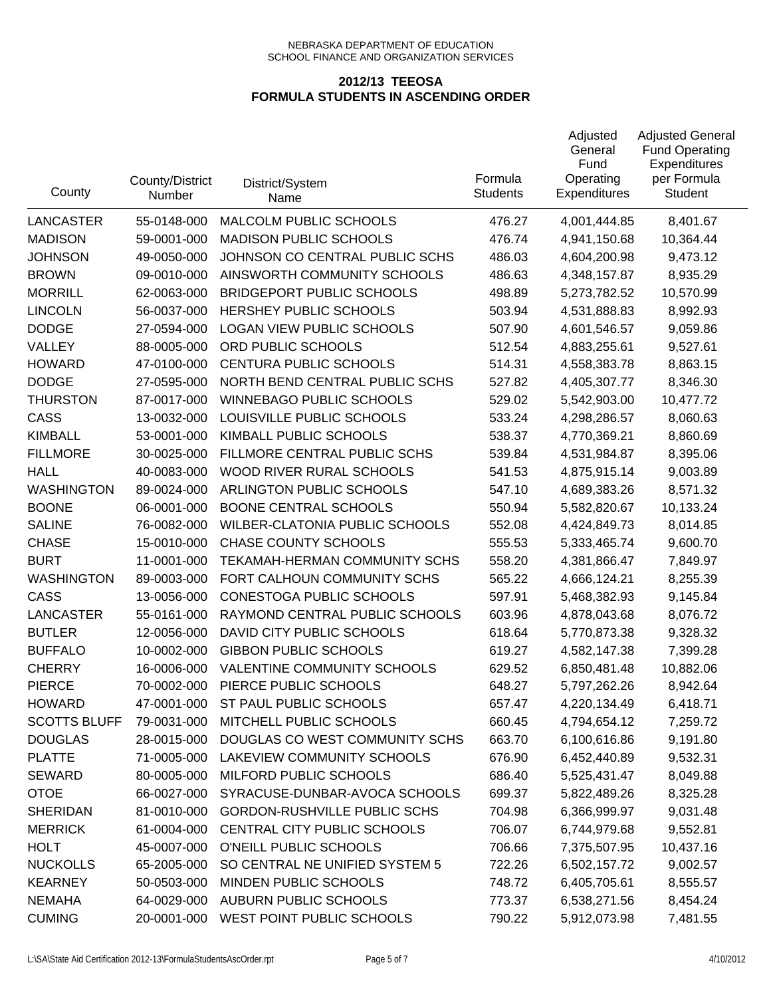| County              | County/District<br>Number | District/System<br>Name               | Formula<br><b>Students</b> | Adjusted<br>General<br>Fund<br>Operating<br>Expenditures | <b>Adjusted General</b><br><b>Fund Operating</b><br>Expenditures<br>per Formula<br><b>Student</b> |
|---------------------|---------------------------|---------------------------------------|----------------------------|----------------------------------------------------------|---------------------------------------------------------------------------------------------------|
| <b>LANCASTER</b>    | 55-0148-000               | MALCOLM PUBLIC SCHOOLS                | 476.27                     | 4,001,444.85                                             | 8,401.67                                                                                          |
| <b>MADISON</b>      | 59-0001-000               | <b>MADISON PUBLIC SCHOOLS</b>         | 476.74                     | 4,941,150.68                                             | 10,364.44                                                                                         |
| <b>JOHNSON</b>      | 49-0050-000               | JOHNSON CO CENTRAL PUBLIC SCHS        | 486.03                     | 4,604,200.98                                             | 9,473.12                                                                                          |
| <b>BROWN</b>        | 09-0010-000               | AINSWORTH COMMUNITY SCHOOLS           | 486.63                     | 4,348,157.87                                             | 8,935.29                                                                                          |
| <b>MORRILL</b>      | 62-0063-000               | <b>BRIDGEPORT PUBLIC SCHOOLS</b>      | 498.89                     | 5,273,782.52                                             | 10,570.99                                                                                         |
| <b>LINCOLN</b>      | 56-0037-000               | HERSHEY PUBLIC SCHOOLS                | 503.94                     | 4,531,888.83                                             | 8,992.93                                                                                          |
| <b>DODGE</b>        | 27-0594-000               | <b>LOGAN VIEW PUBLIC SCHOOLS</b>      | 507.90                     | 4,601,546.57                                             | 9,059.86                                                                                          |
| VALLEY              | 88-0005-000               | ORD PUBLIC SCHOOLS                    | 512.54                     | 4,883,255.61                                             | 9,527.61                                                                                          |
| <b>HOWARD</b>       | 47-0100-000               | <b>CENTURA PUBLIC SCHOOLS</b>         | 514.31                     | 4,558,383.78                                             | 8,863.15                                                                                          |
| <b>DODGE</b>        | 27-0595-000               | NORTH BEND CENTRAL PUBLIC SCHS        | 527.82                     | 4,405,307.77                                             | 8,346.30                                                                                          |
| <b>THURSTON</b>     | 87-0017-000               | <b>WINNEBAGO PUBLIC SCHOOLS</b>       | 529.02                     | 5,542,903.00                                             | 10,477.72                                                                                         |
| CASS                | 13-0032-000               | LOUISVILLE PUBLIC SCHOOLS             | 533.24                     | 4,298,286.57                                             | 8,060.63                                                                                          |
| <b>KIMBALL</b>      | 53-0001-000               | KIMBALL PUBLIC SCHOOLS                | 538.37                     | 4,770,369.21                                             | 8,860.69                                                                                          |
| <b>FILLMORE</b>     | 30-0025-000               | FILLMORE CENTRAL PUBLIC SCHS          | 539.84                     | 4,531,984.87                                             | 8,395.06                                                                                          |
| <b>HALL</b>         | 40-0083-000               | WOOD RIVER RURAL SCHOOLS              | 541.53                     | 4,875,915.14                                             | 9,003.89                                                                                          |
| <b>WASHINGTON</b>   | 89-0024-000               | ARLINGTON PUBLIC SCHOOLS              | 547.10                     | 4,689,383.26                                             | 8,571.32                                                                                          |
| <b>BOONE</b>        | 06-0001-000               | <b>BOONE CENTRAL SCHOOLS</b>          | 550.94                     | 5,582,820.67                                             | 10,133.24                                                                                         |
| <b>SALINE</b>       | 76-0082-000               | <b>WILBER-CLATONIA PUBLIC SCHOOLS</b> | 552.08                     | 4,424,849.73                                             | 8,014.85                                                                                          |
| <b>CHASE</b>        | 15-0010-000               | CHASE COUNTY SCHOOLS                  | 555.53                     | 5,333,465.74                                             | 9,600.70                                                                                          |
| <b>BURT</b>         | 11-0001-000               | TEKAMAH-HERMAN COMMUNITY SCHS         | 558.20                     | 4,381,866.47                                             | 7,849.97                                                                                          |
| <b>WASHINGTON</b>   | 89-0003-000               | FORT CALHOUN COMMUNITY SCHS           | 565.22                     | 4,666,124.21                                             | 8,255.39                                                                                          |
| CASS                | 13-0056-000               | CONESTOGA PUBLIC SCHOOLS              | 597.91                     | 5,468,382.93                                             | 9,145.84                                                                                          |
| <b>LANCASTER</b>    | 55-0161-000               | RAYMOND CENTRAL PUBLIC SCHOOLS        | 603.96                     | 4,878,043.68                                             | 8,076.72                                                                                          |
| <b>BUTLER</b>       | 12-0056-000               | DAVID CITY PUBLIC SCHOOLS             | 618.64                     | 5,770,873.38                                             | 9,328.32                                                                                          |
| <b>BUFFALO</b>      | 10-0002-000               | <b>GIBBON PUBLIC SCHOOLS</b>          | 619.27                     | 4,582,147.38                                             | 7,399.28                                                                                          |
| <b>CHERRY</b>       | 16-0006-000               | VALENTINE COMMUNITY SCHOOLS           | 629.52                     | 6,850,481.48                                             | 10,882.06                                                                                         |
| <b>PIERCE</b>       | 70-0002-000               | PIERCE PUBLIC SCHOOLS                 | 648.27                     | 5,797,262.26                                             | 8,942.64                                                                                          |
| <b>HOWARD</b>       | 47-0001-000               | ST PAUL PUBLIC SCHOOLS                | 657.47                     | 4,220,134.49                                             | 6,418.71                                                                                          |
| <b>SCOTTS BLUFF</b> | 79-0031-000               | MITCHELL PUBLIC SCHOOLS               | 660.45                     | 4,794,654.12                                             | 7,259.72                                                                                          |
| <b>DOUGLAS</b>      | 28-0015-000               | DOUGLAS CO WEST COMMUNITY SCHS        | 663.70                     | 6,100,616.86                                             | 9,191.80                                                                                          |
| <b>PLATTE</b>       | 71-0005-000               | LAKEVIEW COMMUNITY SCHOOLS            | 676.90                     | 6,452,440.89                                             | 9,532.31                                                                                          |
| <b>SEWARD</b>       | 80-0005-000               | MILFORD PUBLIC SCHOOLS                | 686.40                     | 5,525,431.47                                             | 8,049.88                                                                                          |
| <b>OTOE</b>         | 66-0027-000               | SYRACUSE-DUNBAR-AVOCA SCHOOLS         | 699.37                     | 5,822,489.26                                             | 8,325.28                                                                                          |
| <b>SHERIDAN</b>     | 81-0010-000               | <b>GORDON-RUSHVILLE PUBLIC SCHS</b>   | 704.98                     | 6,366,999.97                                             | 9,031.48                                                                                          |
| <b>MERRICK</b>      | 61-0004-000               | CENTRAL CITY PUBLIC SCHOOLS           | 706.07                     | 6,744,979.68                                             | 9,552.81                                                                                          |
| <b>HOLT</b>         | 45-0007-000               | O'NEILL PUBLIC SCHOOLS                | 706.66                     | 7,375,507.95                                             | 10,437.16                                                                                         |
| <b>NUCKOLLS</b>     | 65-2005-000               | SO CENTRAL NE UNIFIED SYSTEM 5        | 722.26                     | 6,502,157.72                                             | 9,002.57                                                                                          |
| <b>KEARNEY</b>      | 50-0503-000               | MINDEN PUBLIC SCHOOLS                 | 748.72                     | 6,405,705.61                                             | 8,555.57                                                                                          |
| <b>NEMAHA</b>       | 64-0029-000               | <b>AUBURN PUBLIC SCHOOLS</b>          | 773.37                     | 6,538,271.56                                             | 8,454.24                                                                                          |
| <b>CUMING</b>       | 20-0001-000               | WEST POINT PUBLIC SCHOOLS             | 790.22                     | 5,912,073.98                                             | 7,481.55                                                                                          |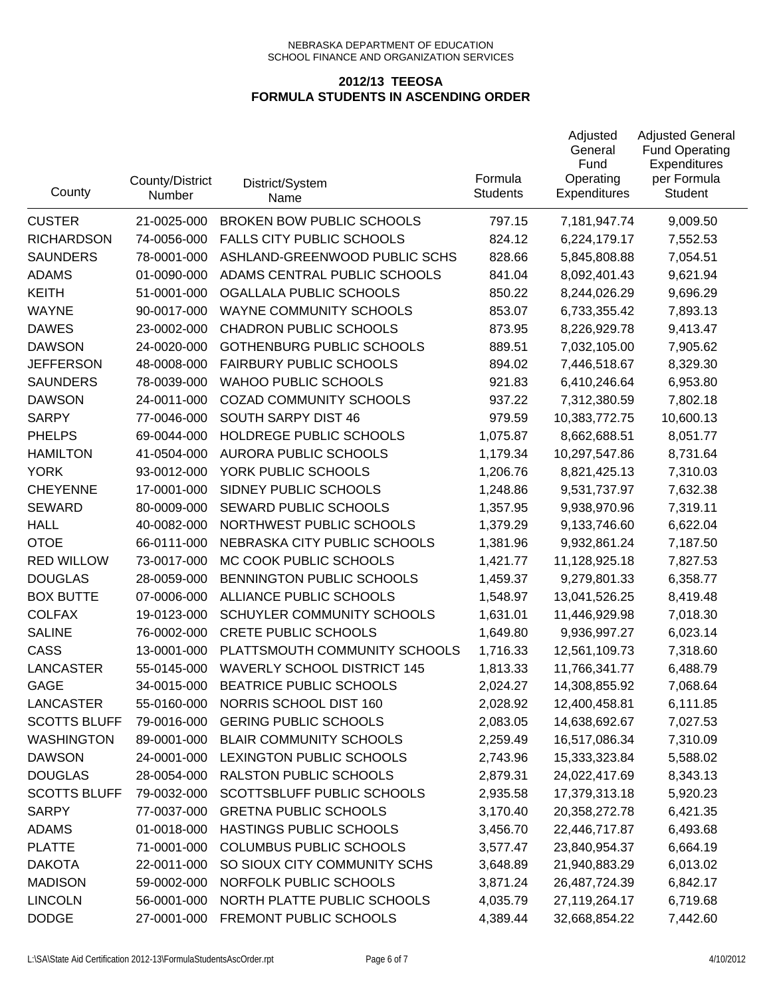| County              | County/District<br>Number | District/System<br>Name            | Formula<br><b>Students</b> | Adjusted<br>General<br>Fund<br>Operating<br><b>Expenditures</b> | <b>Adjusted General</b><br><b>Fund Operating</b><br>Expenditures<br>per Formula<br><b>Student</b> |
|---------------------|---------------------------|------------------------------------|----------------------------|-----------------------------------------------------------------|---------------------------------------------------------------------------------------------------|
| <b>CUSTER</b>       | 21-0025-000               | <b>BROKEN BOW PUBLIC SCHOOLS</b>   | 797.15                     | 7,181,947.74                                                    | 9,009.50                                                                                          |
| <b>RICHARDSON</b>   | 74-0056-000               | <b>FALLS CITY PUBLIC SCHOOLS</b>   | 824.12                     | 6,224,179.17                                                    | 7,552.53                                                                                          |
| <b>SAUNDERS</b>     | 78-0001-000               | ASHLAND-GREENWOOD PUBLIC SCHS      | 828.66                     | 5,845,808.88                                                    | 7,054.51                                                                                          |
| <b>ADAMS</b>        | 01-0090-000               | ADAMS CENTRAL PUBLIC SCHOOLS       | 841.04                     | 8,092,401.43                                                    | 9,621.94                                                                                          |
| <b>KEITH</b>        | 51-0001-000               | OGALLALA PUBLIC SCHOOLS            | 850.22                     | 8,244,026.29                                                    | 9,696.29                                                                                          |
| <b>WAYNE</b>        | 90-0017-000               | WAYNE COMMUNITY SCHOOLS            | 853.07                     | 6,733,355.42                                                    | 7,893.13                                                                                          |
| <b>DAWES</b>        | 23-0002-000               | <b>CHADRON PUBLIC SCHOOLS</b>      | 873.95                     | 8,226,929.78                                                    | 9,413.47                                                                                          |
| <b>DAWSON</b>       | 24-0020-000               | <b>GOTHENBURG PUBLIC SCHOOLS</b>   | 889.51                     | 7,032,105.00                                                    | 7,905.62                                                                                          |
| <b>JEFFERSON</b>    | 48-0008-000               | <b>FAIRBURY PUBLIC SCHOOLS</b>     | 894.02                     | 7,446,518.67                                                    | 8,329.30                                                                                          |
| <b>SAUNDERS</b>     | 78-0039-000               | <b>WAHOO PUBLIC SCHOOLS</b>        | 921.83                     | 6,410,246.64                                                    | 6,953.80                                                                                          |
| <b>DAWSON</b>       | 24-0011-000               | <b>COZAD COMMUNITY SCHOOLS</b>     | 937.22                     | 7,312,380.59                                                    | 7,802.18                                                                                          |
| <b>SARPY</b>        | 77-0046-000               | SOUTH SARPY DIST 46                | 979.59                     | 10,383,772.75                                                   | 10,600.13                                                                                         |
| <b>PHELPS</b>       | 69-0044-000               | HOLDREGE PUBLIC SCHOOLS            | 1,075.87                   | 8,662,688.51                                                    | 8,051.77                                                                                          |
| <b>HAMILTON</b>     | 41-0504-000               | <b>AURORA PUBLIC SCHOOLS</b>       | 1,179.34                   | 10,297,547.86                                                   | 8,731.64                                                                                          |
| <b>YORK</b>         | 93-0012-000               | YORK PUBLIC SCHOOLS                | 1,206.76                   | 8,821,425.13                                                    | 7,310.03                                                                                          |
| <b>CHEYENNE</b>     | 17-0001-000               | SIDNEY PUBLIC SCHOOLS              | 1,248.86                   | 9,531,737.97                                                    | 7,632.38                                                                                          |
| <b>SEWARD</b>       | 80-0009-000               | SEWARD PUBLIC SCHOOLS              | 1,357.95                   | 9,938,970.96                                                    | 7,319.11                                                                                          |
| <b>HALL</b>         | 40-0082-000               | NORTHWEST PUBLIC SCHOOLS           | 1,379.29                   | 9,133,746.60                                                    | 6,622.04                                                                                          |
| <b>OTOE</b>         | 66-0111-000               | NEBRASKA CITY PUBLIC SCHOOLS       | 1,381.96                   | 9,932,861.24                                                    | 7,187.50                                                                                          |
| <b>RED WILLOW</b>   | 73-0017-000               | MC COOK PUBLIC SCHOOLS             | 1,421.77                   | 11,128,925.18                                                   | 7,827.53                                                                                          |
| <b>DOUGLAS</b>      | 28-0059-000               | BENNINGTON PUBLIC SCHOOLS          | 1,459.37                   | 9,279,801.33                                                    | 6,358.77                                                                                          |
| <b>BOX BUTTE</b>    | 07-0006-000               | ALLIANCE PUBLIC SCHOOLS            | 1,548.97                   | 13,041,526.25                                                   | 8,419.48                                                                                          |
| <b>COLFAX</b>       | 19-0123-000               | SCHUYLER COMMUNITY SCHOOLS         | 1,631.01                   | 11,446,929.98                                                   | 7,018.30                                                                                          |
| <b>SALINE</b>       | 76-0002-000               | <b>CRETE PUBLIC SCHOOLS</b>        | 1,649.80                   | 9,936,997.27                                                    | 6,023.14                                                                                          |
| CASS                | 13-0001-000               | PLATTSMOUTH COMMUNITY SCHOOLS      | 1,716.33                   | 12,561,109.73                                                   | 7,318.60                                                                                          |
| <b>LANCASTER</b>    | 55-0145-000               | <b>WAVERLY SCHOOL DISTRICT 145</b> | 1,813.33                   | 11,766,341.77                                                   | 6,488.79                                                                                          |
| <b>GAGE</b>         | 34-0015-000               | BEATRICE PUBLIC SCHOOLS            | 2,024.27                   | 14,308,855.92                                                   | 7,068.64                                                                                          |
| LANCASTER           | 55-0160-000               | NORRIS SCHOOL DIST 160             | 2,028.92                   | 12,400,458.81                                                   | 6,111.85                                                                                          |
| <b>SCOTTS BLUFF</b> | 79-0016-000               | <b>GERING PUBLIC SCHOOLS</b>       | 2,083.05                   | 14,638,692.67                                                   | 7,027.53                                                                                          |
| <b>WASHINGTON</b>   | 89-0001-000               | <b>BLAIR COMMUNITY SCHOOLS</b>     | 2,259.49                   | 16,517,086.34                                                   | 7,310.09                                                                                          |
| <b>DAWSON</b>       | 24-0001-000               | LEXINGTON PUBLIC SCHOOLS           | 2,743.96                   | 15,333,323.84                                                   | 5,588.02                                                                                          |
| <b>DOUGLAS</b>      | 28-0054-000               | RALSTON PUBLIC SCHOOLS             | 2,879.31                   | 24,022,417.69                                                   | 8,343.13                                                                                          |
| <b>SCOTTS BLUFF</b> | 79-0032-000               | SCOTTSBLUFF PUBLIC SCHOOLS         | 2,935.58                   | 17,379,313.18                                                   | 5,920.23                                                                                          |
| <b>SARPY</b>        | 77-0037-000               | <b>GRETNA PUBLIC SCHOOLS</b>       | 3,170.40                   | 20,358,272.78                                                   | 6,421.35                                                                                          |
| <b>ADAMS</b>        | 01-0018-000               | HASTINGS PUBLIC SCHOOLS            | 3,456.70                   | 22,446,717.87                                                   | 6,493.68                                                                                          |
| <b>PLATTE</b>       | 71-0001-000               | <b>COLUMBUS PUBLIC SCHOOLS</b>     | 3,577.47                   | 23,840,954.37                                                   | 6,664.19                                                                                          |
| <b>DAKOTA</b>       | 22-0011-000               | SO SIOUX CITY COMMUNITY SCHS       | 3,648.89                   | 21,940,883.29                                                   | 6,013.02                                                                                          |
| <b>MADISON</b>      | 59-0002-000               | NORFOLK PUBLIC SCHOOLS             | 3,871.24                   | 26,487,724.39                                                   | 6,842.17                                                                                          |
| <b>LINCOLN</b>      | 56-0001-000               | NORTH PLATTE PUBLIC SCHOOLS        | 4,035.79                   | 27,119,264.17                                                   | 6,719.68                                                                                          |
| <b>DODGE</b>        | 27-0001-000               | FREMONT PUBLIC SCHOOLS             | 4,389.44                   | 32,668,854.22                                                   | 7,442.60                                                                                          |